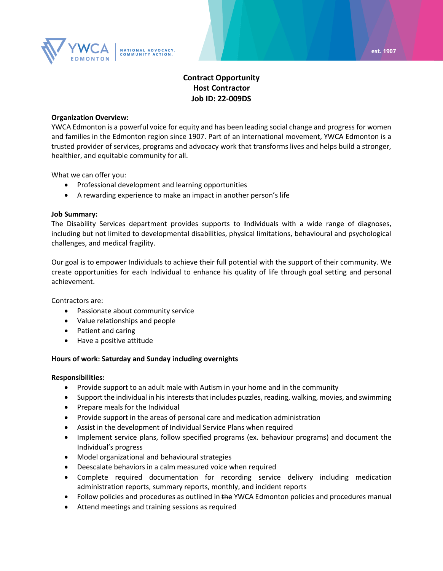

# **Contract Opportunity Host Contractor Job ID: 22-009DS**

#### **Organization Overview:**

YWCA Edmonton is a powerful voice for equity and has been leading social change and progress for women and families in the Edmonton region since 1907. Part of an international movement, YWCA Edmonton is a trusted provider of services, programs and advocacy work that transforms lives and helps build a stronger, healthier, and equitable community for all.

What we can offer you:

- Professional development and learning opportunities
- A rewarding experience to make an impact in another person's life

#### **Job Summary:**

The Disability Services department provides supports to **I**ndividuals with a wide range of diagnoses, including but not limited to developmental disabilities, physical limitations, behavioural and psychological challenges, and medical fragility.

Our goal is to empower Individuals to achieve their full potential with the support of their community. We create opportunities for each Individual to enhance his quality of life through goal setting and personal achievement.

Contractors are:

- Passionate about community service
- Value relationships and people
- Patient and caring
- Have a positive attitude

#### **Hours of work: Saturday and Sunday including overnights**

#### **Responsibilities:**

- Provide support to an adult male with Autism in your home and in the community
- Support the individual in his interests that includes puzzles, reading, walking, movies, and swimming
- Prepare meals for the Individual
- Provide support in the areas of personal care and medication administration
- Assist in the development of Individual Service Plans when required
- Implement service plans, follow specified programs (ex. behaviour programs) and document the Individual's progress
- Model organizational and behavioural strategies
- Deescalate behaviors in a calm measured voice when required
- Complete required documentation for recording service delivery including medication administration reports, summary reports, monthly, and incident reports
- Follow policies and procedures as outlined in the YWCA Edmonton policies and procedures manual
- Attend meetings and training sessions as required